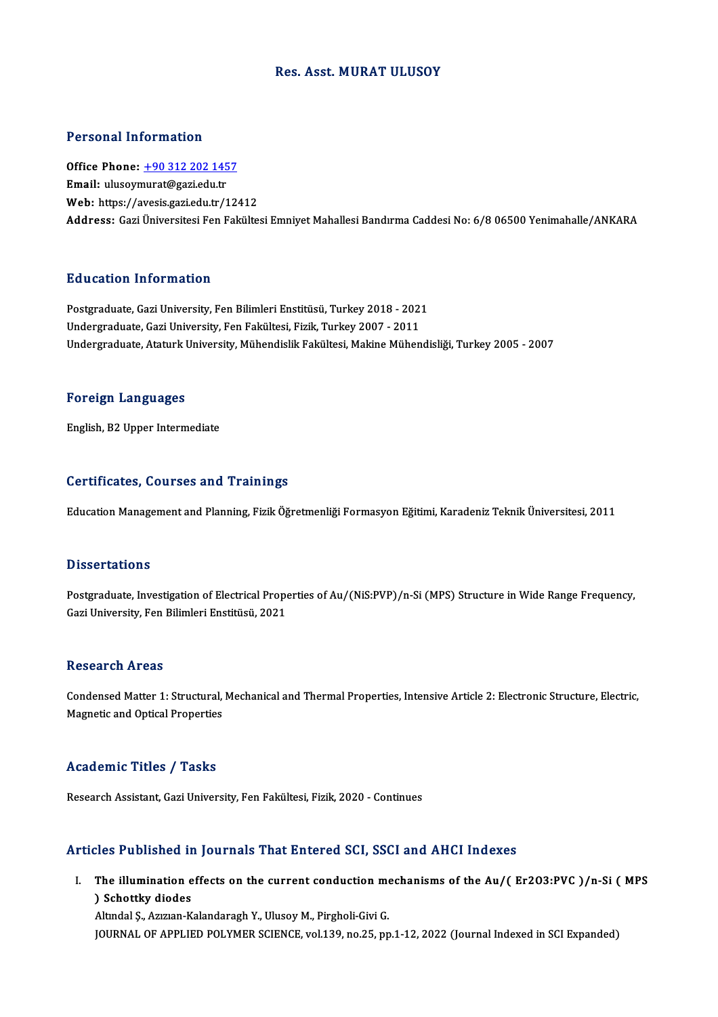## Res. Asst. MURAT ULUSOY

## Personal Information

Personal Information<br>Office Phone: <u>+90 312 202 1457</u><br>Email: uluseumurat@ssriedu.tr 1 STOOMAT INTO MACION<br>Office Phone: <u>+90 312 202 145</u><br>Email: ulusoy[murat@gazi.edu.tr](tel:+90 312 202 1457) Email: ulusoymurat@gazi.edu.tr<br>Web: https://avesis.gazi.edu.tr/12412 Address: Gazi Üniversitesi Fen Fakültesi Emniyet Mahallesi Bandırma Caddesi No: 6/8 06500 Yenimahalle/ANKARA

## Education Information

<mark>Education Information</mark><br>Postgraduate, Gazi University, Fen Bilimleri Enstitüsü, Turkey 2018 - 2021<br>Undergraduate, Gazi University, Fen Folgiltesi, Fizik, Turkey 2007 - 2011 undergraduate, Gazi University, Fen Bilimleri Enstitüsü, Turkey 2018 - 202:<br>Undergraduate, Gazi University, Fen Fakültesi, Fizik, Turkey 2007 - 2011<br>Undergraduate, Ataturk University, Mühandislik Fakültesi, Makine Mühan Undergraduate, Gazi University, Fen Fakültesi, Fizik, Turkey 2007 - 2011<br>Undergraduate, Ataturk University, Mühendislik Fakültesi, Makine Mühendisliği, Turkey 2005 - 2007

### Foreign Languages

English,B2Upper Intermediate

### Certificates, Courses and Trainings

Education Management and Planning, Fizik Öğretmenliği Formasyon Eğitimi, Karadeniz Teknik Üniversitesi, 2011

### **Dissertations**

Dissertations<br>Postgraduate, Investigation of Electrical Properties of Au/(NiS:PVP)/n-Si (MPS) Structure in Wide Range Frequency,<br>Ceri University, Fon Bilimleri Enstitüsü, 2021 Basser tatrons<br>Postgraduate, Investigation of Electrical Prope<br>Gazi University, Fen Bilimleri Enstitüsü, 2021 Gazi University, Fen Bilimleri Enstitüsü, 2021<br>Research Areas

Research Areas<br>Condensed Matter 1: Structural, Mechanical and Thermal Properties, Intensive Article 2: Electronic Structure, Electric,<br>Megnetia and Optical Properties Resear en 111 eas<br>Condensed Matter 1: Structural,<br>Magnetic and Optical Properties Magnetic and Optical Properties<br>Academic Titles / Tasks

Research Assistant, Gazi University, Fen Fakültesi, Fizik, 2020 - Continues

## Articles Published in Journals That Entered SCI, SSCI and AHCI Indexes

rticles Published in Journals That Entered SCI, SSCI and AHCI Indexes<br>I. The illumination effects on the current conduction mechanisms of the Au/( Er2O3:PVC )/n-Si ( MPS The illumination e<br>
) Schottky diodes<br>
Altudal S. Arwan K The illumination effects on the current conduction me<br>) Schottky diodes<br>Altındal Ş., Azızıan-Kalandaragh Y., Ulusoy M., Pirgholi-Givi G.<br>JOUPMAL OF APPLIED POLYMER SCIENCE vol.130 no.25 nn ) Schottky diodes<br>Altındal Ş., Azızıan-Kalandaragh Y., Ulusoy M., Pirgholi-Givi G.<br>JOURNAL OF APPLIED POLYMER SCIENCE, vol.139, no.25, pp.1-12, 2022 (Journal Indexed in SCI Expanded)